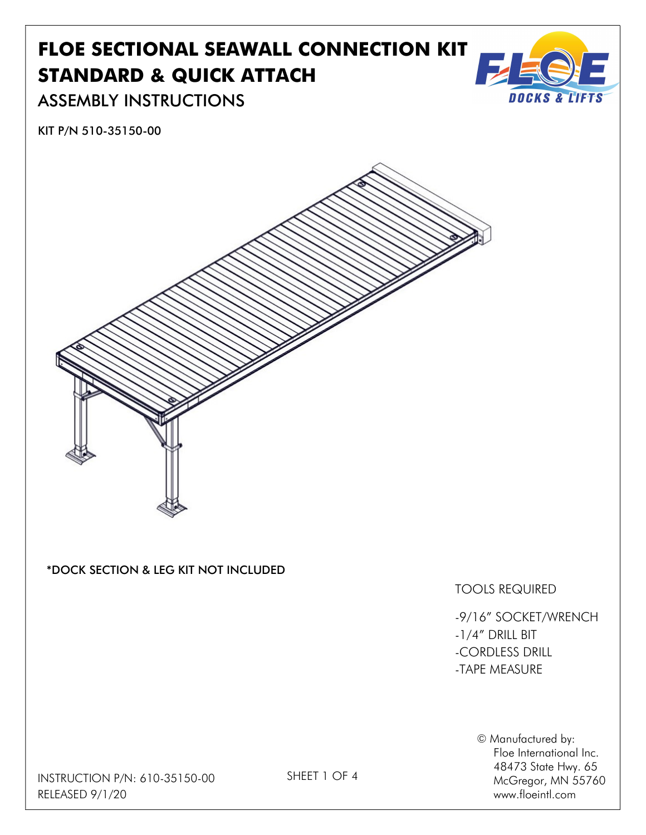## FLOE SECTIONAL SEAWALL CONNECTION KIT STANDARD & QUICK ATTACH



ASSEMBLY INSTRUCTIONS

KIT P/N 510-35150-00



© Manufactured by: Floe International Inc. 48473 State Hwy. 65 McGregor, MN 55760 www.floeintl.com

INSTRUCTION P/N: 610-35150-00 RELEASED 9/1/20

SHEET 1 OF 4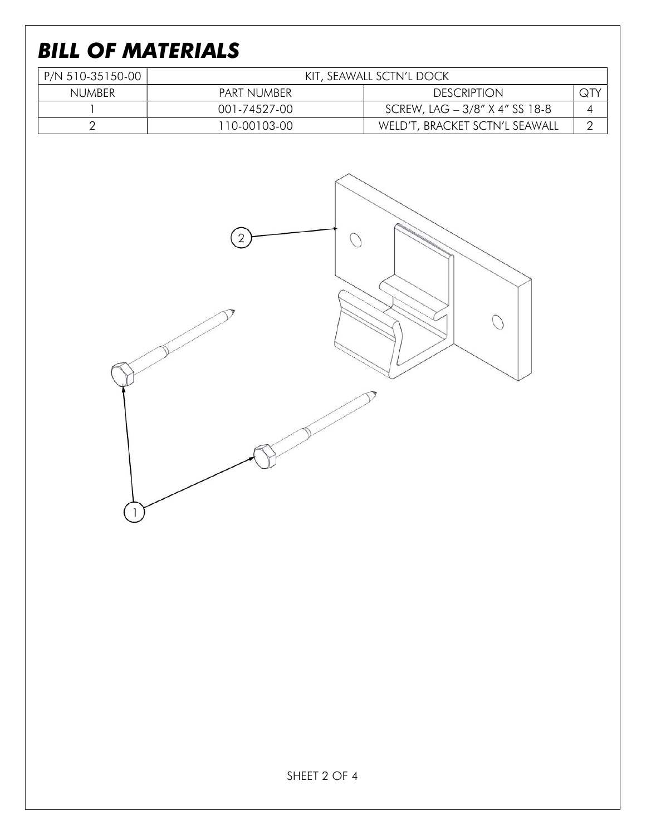## BILL OF MATERIALS

| P/N 510-35150-00 | KIT, SEAWALL SCTN'L DOCK |                                |     |
|------------------|--------------------------|--------------------------------|-----|
| NUMBER           | PART NUMBER              | <b>DESCRIPTION</b>             | QTY |
|                  | 001-74527-00             | SCREW, LAG - 3/8" X 4" SS 18-8 |     |
|                  | 110-00103-00             | WELD'T, BRACKET SCTN'L SEAWALL |     |

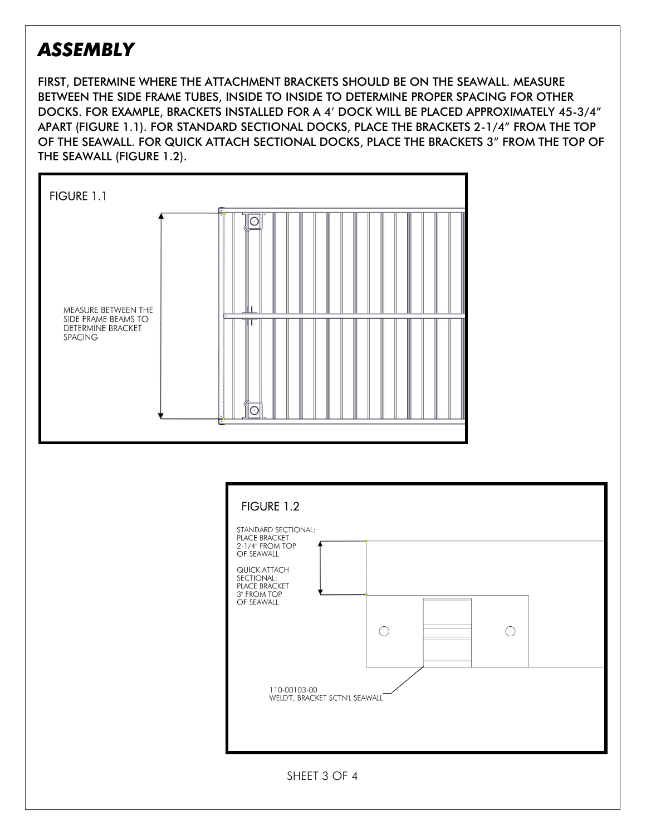## ASSEMBLY

FIRST, DETERMINE WHERE THE ATTACHMENT BRACKETS SHOULD BE ON THE SEAWALL. MEASURE BETWEEN THE SIDE FRAME TUBES, INSIDE TO INSIDE TO DETERMINE PROPER SPACING FOR OTHER DOCKS. FOR EXAMPLE, BRACKETS INSTALLED FOR A 4' DOCK WILL BE PLACED APPROXIMATELY 45-3/4" APART (FIGURE 1.1). FOR STANDARD SECTIONAL DOCKS, PLACE THE BRACKETS 2-1/4" FROM THE TOP OF THE SEAWALL. FOR QUICK ATTACH SECTIONAL DOCKS, PLACE THE BRACKETS 3" FROM THE TOP OF THE SEAWALL (FIGURE 1.2).